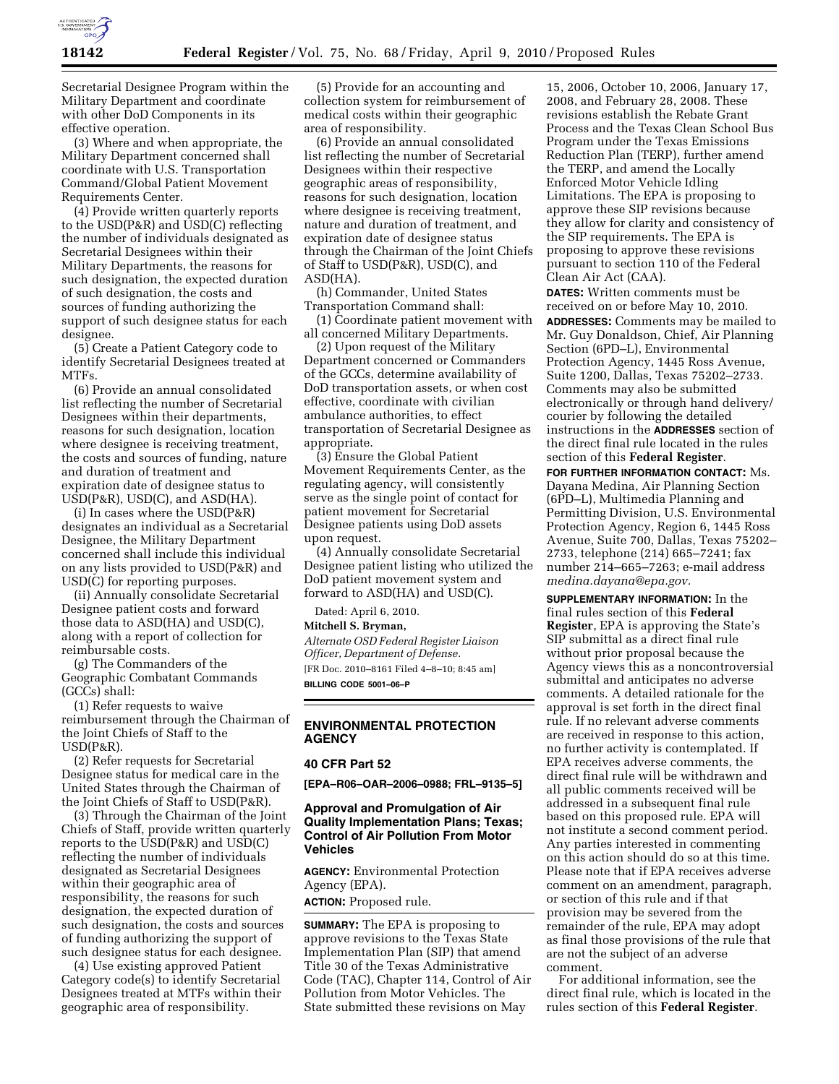

Secretarial Designee Program within the Military Department and coordinate with other DoD Components in its effective operation.

(3) Where and when appropriate, the Military Department concerned shall coordinate with U.S. Transportation Command/Global Patient Movement Requirements Center.

(4) Provide written quarterly reports to the USD(P&R) and USD(C) reflecting the number of individuals designated as Secretarial Designees within their Military Departments, the reasons for such designation, the expected duration of such designation, the costs and sources of funding authorizing the support of such designee status for each designee.

(5) Create a Patient Category code to identify Secretarial Designees treated at MTFs.

(6) Provide an annual consolidated list reflecting the number of Secretarial Designees within their departments, reasons for such designation, location where designee is receiving treatment, the costs and sources of funding, nature and duration of treatment and expiration date of designee status to USD(P&R), USD(C), and ASD(HA).

(i) In cases where the USD(P&R) designates an individual as a Secretarial Designee, the Military Department concerned shall include this individual on any lists provided to USD(P&R) and USD(C) for reporting purposes.

(ii) Annually consolidate Secretarial Designee patient costs and forward those data to ASD(HA) and USD(C), along with a report of collection for reimbursable costs.

(g) The Commanders of the Geographic Combatant Commands (GCCs) shall:

(1) Refer requests to waive reimbursement through the Chairman of the Joint Chiefs of Staff to the USD(P&R).

(2) Refer requests for Secretarial Designee status for medical care in the United States through the Chairman of the Joint Chiefs of Staff to USD(P&R).

(3) Through the Chairman of the Joint Chiefs of Staff, provide written quarterly reports to the USD(P&R) and USD(C) reflecting the number of individuals designated as Secretarial Designees within their geographic area of responsibility, the reasons for such designation, the expected duration of such designation, the costs and sources of funding authorizing the support of such designee status for each designee.

(4) Use existing approved Patient Category code(s) to identify Secretarial Designees treated at MTFs within their geographic area of responsibility.

(5) Provide for an accounting and collection system for reimbursement of medical costs within their geographic area of responsibility.

(6) Provide an annual consolidated list reflecting the number of Secretarial Designees within their respective geographic areas of responsibility, reasons for such designation, location where designee is receiving treatment, nature and duration of treatment, and expiration date of designee status through the Chairman of the Joint Chiefs of Staff to USD(P&R), USD(C), and ASD(HA).

(h) Commander, United States Transportation Command shall:

(1) Coordinate patient movement with all concerned Military Departments.

(2) Upon request of the Military Department concerned or Commanders of the GCCs, determine availability of DoD transportation assets, or when cost effective, coordinate with civilian ambulance authorities, to effect transportation of Secretarial Designee as appropriate.

(3) Ensure the Global Patient Movement Requirements Center, as the regulating agency, will consistently serve as the single point of contact for patient movement for Secretarial Designee patients using DoD assets upon request.

(4) Annually consolidate Secretarial Designee patient listing who utilized the DoD patient movement system and forward to ASD(HA) and USD(C).

Dated: April 6, 2010.

**Mitchell S. Bryman,** 

*Alternate OSD Federal Register Liaison Officer, Department of Defense.*  [FR Doc. 2010–8161 Filed 4–8–10; 8:45 am] **BILLING CODE 5001–06–P** 

### **ENVIRONMENTAL PROTECTION AGENCY**

## **40 CFR Part 52**

**[EPA–R06–OAR–2006–0988; FRL–9135–5]** 

## **Approval and Promulgation of Air Quality Implementation Plans; Texas; Control of Air Pollution From Motor Vehicles**

**AGENCY:** Environmental Protection Agency (EPA).

# **ACTION:** Proposed rule.

**SUMMARY:** The EPA is proposing to approve revisions to the Texas State Implementation Plan (SIP) that amend Title 30 of the Texas Administrative Code (TAC), Chapter 114, Control of Air Pollution from Motor Vehicles. The State submitted these revisions on May

15, 2006, October 10, 2006, January 17, 2008, and February 28, 2008. These revisions establish the Rebate Grant Process and the Texas Clean School Bus Program under the Texas Emissions Reduction Plan (TERP), further amend the TERP, and amend the Locally Enforced Motor Vehicle Idling Limitations. The EPA is proposing to approve these SIP revisions because they allow for clarity and consistency of the SIP requirements. The EPA is proposing to approve these revisions pursuant to section 110 of the Federal Clean Air Act (CAA).

**DATES:** Written comments must be received on or before May 10, 2010.

**ADDRESSES:** Comments may be mailed to Mr. Guy Donaldson, Chief, Air Planning Section (6PD–L), Environmental Protection Agency, 1445 Ross Avenue, Suite 1200, Dallas, Texas 75202–2733. Comments may also be submitted electronically or through hand delivery/ courier by following the detailed instructions in the **ADDRESSES** section of the direct final rule located in the rules section of this **Federal Register**.

**FOR FURTHER INFORMATION CONTACT:** Ms. Dayana Medina, Air Planning Section (6PD–L), Multimedia Planning and Permitting Division, U.S. Environmental Protection Agency, Region 6, 1445 Ross Avenue, Suite 700, Dallas, Texas 75202– 2733, telephone (214) 665–7241; fax number 214–665–7263; e-mail address *medina.dayana@epa.gov.* 

**SUPPLEMENTARY INFORMATION:** In the final rules section of this **Federal Register**, EPA is approving the State's SIP submittal as a direct final rule without prior proposal because the Agency views this as a noncontroversial submittal and anticipates no adverse comments. A detailed rationale for the approval is set forth in the direct final rule. If no relevant adverse comments are received in response to this action, no further activity is contemplated. If EPA receives adverse comments, the direct final rule will be withdrawn and all public comments received will be addressed in a subsequent final rule based on this proposed rule. EPA will not institute a second comment period. Any parties interested in commenting on this action should do so at this time. Please note that if EPA receives adverse comment on an amendment, paragraph, or section of this rule and if that provision may be severed from the remainder of the rule, EPA may adopt as final those provisions of the rule that are not the subject of an adverse comment.

For additional information, see the direct final rule, which is located in the rules section of this **Federal Register**.